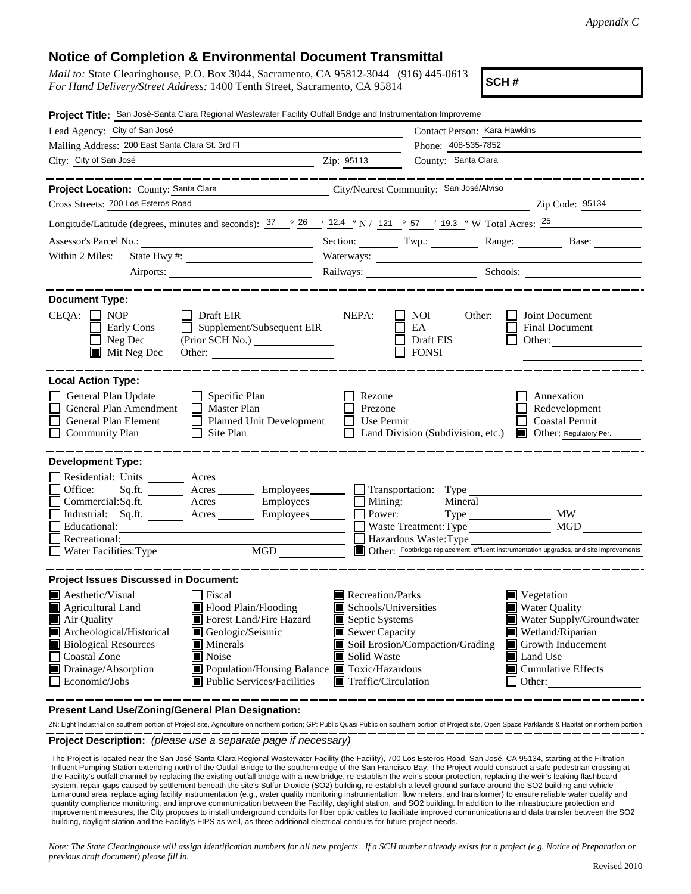## **Notice of Completion & Environmental Document Transmittal**

| Notice of Completion & Environmental Document Fransimital<br><i>Mail to:</i> State Clearinghouse, P.O. Box 3044, Sacramento, CA 95812-3044 (916) 445-0613                                                                                                                                                                                                                                                      |                                                                                                                                                                                                                                                                                                                                            |  |  |  |
|----------------------------------------------------------------------------------------------------------------------------------------------------------------------------------------------------------------------------------------------------------------------------------------------------------------------------------------------------------------------------------------------------------------|--------------------------------------------------------------------------------------------------------------------------------------------------------------------------------------------------------------------------------------------------------------------------------------------------------------------------------------------|--|--|--|
| SCH#<br>For Hand Delivery/Street Address: 1400 Tenth Street, Sacramento, CA 95814                                                                                                                                                                                                                                                                                                                              |                                                                                                                                                                                                                                                                                                                                            |  |  |  |
| Project Title: San José-Santa Clara Regional Wastewater Facility Outfall Bridge and Instrumentation Improveme                                                                                                                                                                                                                                                                                                  |                                                                                                                                                                                                                                                                                                                                            |  |  |  |
| Lead Agency: City of San José                                                                                                                                                                                                                                                                                                                                                                                  | Contact Person: Kara Hawkins                                                                                                                                                                                                                                                                                                               |  |  |  |
| Mailing Address: 200 East Santa Clara St. 3rd Fl                                                                                                                                                                                                                                                                                                                                                               | Phone: 408-535-7852                                                                                                                                                                                                                                                                                                                        |  |  |  |
| City: City of San José<br>$\frac{1}{2}$ $\frac{1}{2}$ $\frac{1}{2}$ $\frac{1}{2}$ $\frac{1}{2}$ $\frac{1}{2}$ $\frac{1}{2}$ $\frac{1}{2}$ $\frac{1}{2}$ $\frac{1}{2}$ $\frac{1}{2}$ $\frac{1}{2}$ $\frac{1}{2}$ $\frac{1}{2}$ $\frac{1}{2}$ $\frac{1}{2}$ $\frac{1}{2}$ $\frac{1}{2}$ $\frac{1}{2}$ $\frac{1}{2}$ $\frac{1}{2}$ $\frac{1}{2}$                                                                  | County: Santa Clara                                                                                                                                                                                                                                                                                                                        |  |  |  |
| _________________<br>Project Location: County: Santa Clara Community: San José/Alviso                                                                                                                                                                                                                                                                                                                          | ____________________                                                                                                                                                                                                                                                                                                                       |  |  |  |
| Cross Streets: 700 Los Esteros Road                                                                                                                                                                                                                                                                                                                                                                            | $\frac{2}{\pi}$ Zip Code: $\frac{95134}{\pi}$                                                                                                                                                                                                                                                                                              |  |  |  |
|                                                                                                                                                                                                                                                                                                                                                                                                                | Longitude/Latitude (degrees, minutes and seconds): $\frac{37}{26}$ $\frac{26}{12.4}$ $\frac{12.4}{12.4}$ N / 121 $\degree$ 57 $\degree$ 19.3 $\degree$ W Total Acres: $\frac{25}{25}$                                                                                                                                                      |  |  |  |
|                                                                                                                                                                                                                                                                                                                                                                                                                | Section: Twp.: Range: Base:                                                                                                                                                                                                                                                                                                                |  |  |  |
| Within 2 Miles:                                                                                                                                                                                                                                                                                                                                                                                                |                                                                                                                                                                                                                                                                                                                                            |  |  |  |
|                                                                                                                                                                                                                                                                                                                                                                                                                | Railways: Schools: Schools:                                                                                                                                                                                                                                                                                                                |  |  |  |
| <b>Document Type:</b>                                                                                                                                                                                                                                                                                                                                                                                          |                                                                                                                                                                                                                                                                                                                                            |  |  |  |
| $CEQA: \Box NOP$<br><b>Draft EIR</b><br>$\Box$ Supplement/Subsequent EIR<br>Early Cons<br>$\Box$ Neg Dec<br>(Prior SCH No.) ________________<br>Mit Neg Dec<br>Other: $\qquad \qquad$                                                                                                                                                                                                                          | NEPA:<br>NOI<br>Other:<br>Joint Document<br>EA<br><b>Final Document</b><br>Draft EIS<br>Other:<br><b>FONSI</b>                                                                                                                                                                                                                             |  |  |  |
| <b>Local Action Type:</b><br>General Plan Update<br>$\Box$ Specific Plan<br>$\Box$ Master Plan<br>General Plan Amendment<br>General Plan Element<br>Planned Unit Development<br>$\Box$ Site Plan<br><b>Community Plan</b>                                                                                                                                                                                      | Rezone<br>Annexation<br>Prezone<br>Redevelopment<br>$\Box$<br>Use Permit<br><b>Coastal Permit</b><br>Land Division (Subdivision, etc.)<br>Other: Regulatory Per.                                                                                                                                                                           |  |  |  |
| <b>Development Type:</b><br>Residential: Units ________ Acres _______<br>Sq.ft. _________ Acres __________ Employees________<br>Office:<br>Commercial:Sq.ft. <u>Acres</u> Acres Employees Employees<br>Industrial: $Sq.fit.$ Acres<br>Educational:<br>Recreational:<br>Water Facilities: Type<br>$\overline{MGD}$                                                                                              | Mining:<br>Mineral<br>Type MW<br>Power:<br>Waste Treatment: Type<br>Hazardous Waste: Type<br>Other: Footbridge replacement, effluent instrumentation upgrades, and site improvements                                                                                                                                                       |  |  |  |
| <b>Project Issues Discussed in Document:</b>                                                                                                                                                                                                                                                                                                                                                                   |                                                                                                                                                                                                                                                                                                                                            |  |  |  |
| $\blacksquare$ Aesthetic/Visual<br>Fiscal<br><b>Agricultural Land</b><br>Flood Plain/Flooding<br><b>Forest Land/Fire Hazard</b><br>Air Quality<br>Archeological/Historical<br>Geologic/Seismic<br><b>Biological Resources</b><br>$\blacksquare$ Minerals<br>Coastal Zone<br>Noise<br>Drainage/Absorption<br>Population/Housing Balance <b>T</b> Toxic/Hazardous<br>Economic/Jobs<br>Public Services/Facilities | Recreation/Parks<br>$\blacksquare$ Vegetation<br>Schools/Universities<br><b>Water Quality</b><br>Water Supply/Groundwater<br>Septic Systems<br>Sewer Capacity<br>Wetland/Riparian<br>Soil Erosion/Compaction/Grading<br>Growth Inducement<br>Solid Waste<br>Land Use<br>$\blacksquare$ Cumulative Effects<br>Traffic/Circulation<br>Other: |  |  |  |

**Present Land Use/Zoning/General Plan Designation:**

**Project Description:** *(please use a separate page if necessary)* ZN: Light Industrial on southern portion of Project site, Agriculture on northern portion; GP: Public Quasi Public on southern portion of Project site, Open Space Parklands & Habitat on northern portion

The Project is located near the San José-Santa Clara Regional Wastewater Facility (the Facility), 700 Los Esteros Road, San José, CA 95134, starting at the Filtration Influent Pumping Station extending north of the Outfall Bridge to the southern edge of the San Francisco Bay. The Project would construct a safe pedestrian crossing at the Facility's outfall channel by replacing the existing outfall bridge with a new bridge, re-establish the weir's scour protection, replacing the weir's leaking flashboard system, repair gaps caused by settlement beneath the site's Sulfur Dioxide (SO2) building, re-establish a level ground surface around the SO2 building and vehicle turnaround area, replace aging facility instrumentation (e.g., water quality monitoring instrumentation, flow meters, and transformer) to ensure reliable water quality and quantity compliance monitoring, and improve communication between the Facility, daylight station, and SO2 building. In addition to the infrastructure protection and improvement measures, the City proposes to install underground conduits for fiber optic cables to facilitate improved communications and data transfer between the SO2 building, daylight station and the Facility's FIPS as well, as three additional electrical conduits for future project needs.

*Note: The State Clearinghouse will assign identification numbers for all new projects. If a SCH number already exists for a project (e.g. Notice of Preparation or previous draft document) please fill in.*